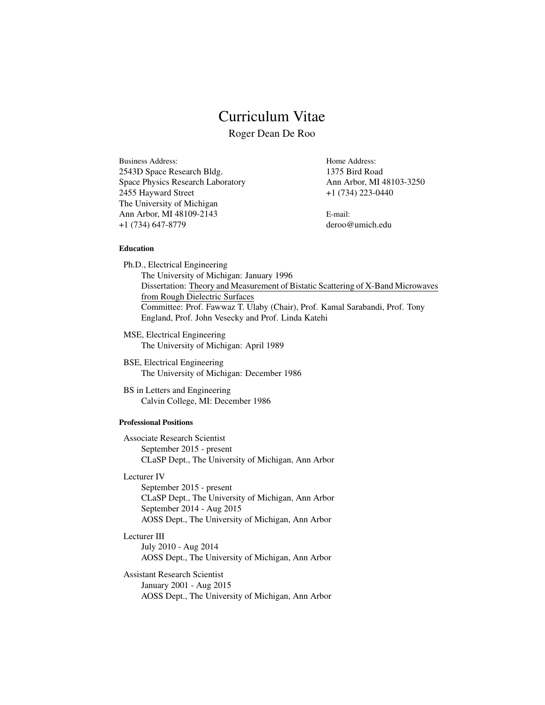# Curriculum Vitae

Roger Dean De Roo

Business Address: 2543D Space Research Bldg. Space Physics Research Laboratory 2455 Hayward Street The University of Michigan Ann Arbor, MI 48109-2143 +1 (734) 647-8779

Home Address: 1375 Bird Road Ann Arbor, MI 48103-3250 +1 (734) 223-0440

E-mail: deroo@umich.edu

## Education

Ph.D., Electrical Engineering The University of Michigan: January 1996 Dissertation: Theory and Measurement of Bistatic Scattering of X-Band Microwaves from Rough Dielectric Surfaces Committee: Prof. Fawwaz T. Ulaby (Chair), Prof. Kamal Sarabandi, Prof. Tony England, Prof. John Vesecky and Prof. Linda Katehi

MSE, Electrical Engineering The University of Michigan: April 1989

BSE, Electrical Engineering The University of Michigan: December 1986

BS in Letters and Engineering Calvin College, MI: December 1986

# Professional Positions

Associate Research Scientist September 2015 - present CLaSP Dept., The University of Michigan, Ann Arbor

# Lecturer IV

September 2015 - present CLaSP Dept., The University of Michigan, Ann Arbor September 2014 - Aug 2015 AOSS Dept., The University of Michigan, Ann Arbor

## Lecturer III

July 2010 - Aug 2014 AOSS Dept., The University of Michigan, Ann Arbor

Assistant Research Scientist January 2001 - Aug 2015 AOSS Dept., The University of Michigan, Ann Arbor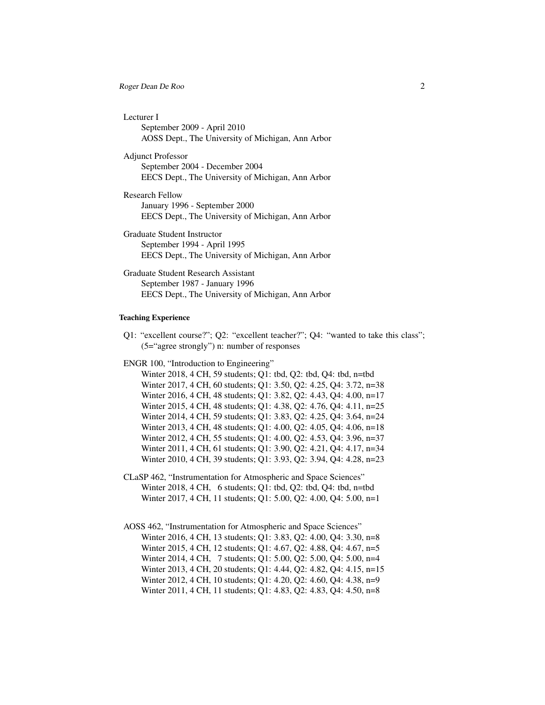## Roger Dean De Roo 2

Lecturer I

September 2009 - April 2010 AOSS Dept., The University of Michigan, Ann Arbor

Adjunct Professor September 2004 - December 2004 EECS Dept., The University of Michigan, Ann Arbor

- Research Fellow January 1996 - September 2000 EECS Dept., The University of Michigan, Ann Arbor
- Graduate Student Instructor September 1994 - April 1995 EECS Dept., The University of Michigan, Ann Arbor

Graduate Student Research Assistant September 1987 - January 1996 EECS Dept., The University of Michigan, Ann Arbor

## Teaching Experience

Q1: "excellent course?"; Q2: "excellent teacher?"; Q4: "wanted to take this class"; (5="agree strongly") n: number of responses

ENGR 100, "Introduction to Engineering"

Winter 2018, 4 CH, 59 students; Q1: tbd, Q2: tbd, Q4: tbd, n=tbd Winter 2017, 4 CH, 60 students; Q1: 3.50, Q2: 4.25, Q4: 3.72, n=38 Winter 2016, 4 CH, 48 students; Q1: 3.82, Q2: 4.43, Q4: 4.00, n=17 Winter 2015, 4 CH, 48 students; Q1: 4.38, Q2: 4.76, Q4: 4.11, n=25 Winter 2014, 4 CH, 59 students; Q1: 3.83, Q2: 4.25, Q4: 3.64, n=24 Winter 2013, 4 CH, 48 students; Q1: 4.00, Q2: 4.05, Q4: 4.06, n=18 Winter 2012, 4 CH, 55 students; Q1: 4.00, Q2: 4.53, Q4: 3.96, n=37 Winter 2011, 4 CH, 61 students; Q1: 3.90, Q2: 4.21, Q4: 4.17, n=34 Winter 2010, 4 CH, 39 students; Q1: 3.93, Q2: 3.94, Q4: 4.28, n=23

CLaSP 462, "Instrumentation for Atmospheric and Space Sciences" Winter 2018, 4 CH, 6 students; Q1: tbd, Q2: tbd, Q4: tbd, n=tbd Winter 2017, 4 CH, 11 students; Q1: 5.00, Q2: 4.00, Q4: 5.00, n=1

AOSS 462, "Instrumentation for Atmospheric and Space Sciences" Winter 2016, 4 CH, 13 students; Q1: 3.83, Q2: 4.00, Q4: 3.30, n=8 Winter 2015, 4 CH, 12 students; Q1: 4.67, Q2: 4.88, Q4: 4.67, n=5 Winter 2014, 4 CH, 7 students; Q1: 5.00, Q2: 5.00, Q4: 5.00, n=4 Winter 2013, 4 CH, 20 students; Q1: 4.44, Q2: 4.82, Q4: 4.15, n=15 Winter 2012, 4 CH, 10 students; Q1: 4.20, Q2: 4.60, Q4: 4.38, n=9 Winter 2011, 4 CH, 11 students; Q1: 4.83, Q2: 4.83, Q4: 4.50, n=8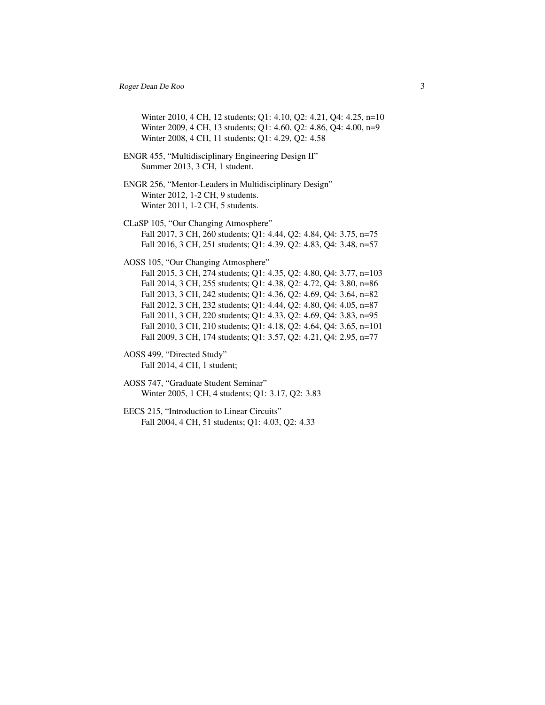Winter 2010, 4 CH, 12 students; Q1: 4.10, Q2: 4.21, Q4: 4.25, n=10 Winter 2009, 4 CH, 13 students; Q1: 4.60, Q2: 4.86, Q4: 4.00, n=9 Winter 2008, 4 CH, 11 students; Q1: 4.29, Q2: 4.58

- ENGR 455, "Multidisciplinary Engineering Design II" Summer 2013, 3 CH, 1 student.
- ENGR 256, "Mentor-Leaders in Multidisciplinary Design" Winter 2012, 1-2 CH, 9 students. Winter 2011, 1-2 CH, 5 students.
- CLaSP 105, "Our Changing Atmosphere" Fall 2017, 3 CH, 260 students; Q1: 4.44, Q2: 4.84, Q4: 3.75, n=75 Fall 2016, 3 CH, 251 students; Q1: 4.39, Q2: 4.83, Q4: 3.48, n=57

AOSS 105, "Our Changing Atmosphere"

- Fall 2015, 3 CH, 274 students; Q1: 4.35, Q2: 4.80, Q4: 3.77, n=103 Fall 2014, 3 CH, 255 students; Q1: 4.38, Q2: 4.72, Q4: 3.80, n=86 Fall 2013, 3 CH, 242 students; Q1: 4.36, Q2: 4.69, Q4: 3.64, n=82 Fall 2012, 3 CH, 232 students; Q1: 4.44, Q2: 4.80, Q4: 4.05, n=87 Fall 2011, 3 CH, 220 students; Q1: 4.33, Q2: 4.69, Q4: 3.83, n=95 Fall 2010, 3 CH, 210 students; Q1: 4.18, Q2: 4.64, Q4: 3.65, n=101 Fall 2009, 3 CH, 174 students; Q1: 3.57, Q2: 4.21, Q4: 2.95, n=77
- AOSS 499, "Directed Study" Fall 2014, 4 CH, 1 student;
- AOSS 747, "Graduate Student Seminar" Winter 2005, 1 CH, 4 students; Q1: 3.17, Q2: 3.83
- EECS 215, "Introduction to Linear Circuits" Fall 2004, 4 CH, 51 students; Q1: 4.03, Q2: 4.33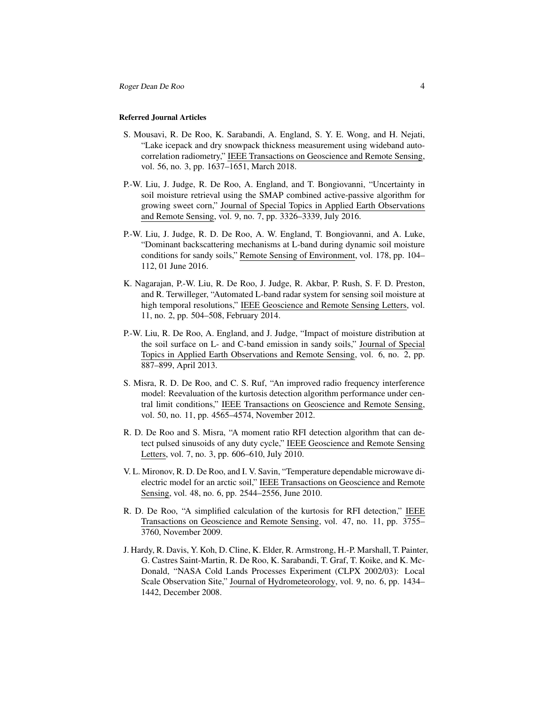#### Referred Journal Articles

- S. Mousavi, R. De Roo, K. Sarabandi, A. England, S. Y. E. Wong, and H. Nejati, "Lake icepack and dry snowpack thickness measurement using wideband autocorrelation radiometry," IEEE Transactions on Geoscience and Remote Sensing, vol. 56, no. 3, pp. 1637–1651, March 2018.
- P.-W. Liu, J. Judge, R. De Roo, A. England, and T. Bongiovanni, "Uncertainty in soil moisture retrieval using the SMAP combined active-passive algorithm for growing sweet corn," Journal of Special Topics in Applied Earth Observations and Remote Sensing, vol. 9, no. 7, pp. 3326–3339, July 2016.
- P.-W. Liu, J. Judge, R. D. De Roo, A. W. England, T. Bongiovanni, and A. Luke, "Dominant backscattering mechanisms at L-band during dynamic soil moisture conditions for sandy soils," Remote Sensing of Environment, vol. 178, pp. 104– 112, 01 June 2016.
- K. Nagarajan, P.-W. Liu, R. De Roo, J. Judge, R. Akbar, P. Rush, S. F. D. Preston, and R. Terwilleger, "Automated L-band radar system for sensing soil moisture at high temporal resolutions," IEEE Geoscience and Remote Sensing Letters, vol. 11, no. 2, pp. 504–508, February 2014.
- P.-W. Liu, R. De Roo, A. England, and J. Judge, "Impact of moisture distribution at the soil surface on L- and C-band emission in sandy soils," Journal of Special Topics in Applied Earth Observations and Remote Sensing, vol. 6, no. 2, pp. 887–899, April 2013.
- S. Misra, R. D. De Roo, and C. S. Ruf, "An improved radio frequency interference model: Reevaluation of the kurtosis detection algorithm performance under central limit conditions," IEEE Transactions on Geoscience and Remote Sensing, vol. 50, no. 11, pp. 4565–4574, November 2012.
- R. D. De Roo and S. Misra, "A moment ratio RFI detection algorithm that can detect pulsed sinusoids of any duty cycle," IEEE Geoscience and Remote Sensing Letters, vol. 7, no. 3, pp. 606–610, July 2010.
- V. L. Mironov, R. D. De Roo, and I. V. Savin, "Temperature dependable microwave dielectric model for an arctic soil," IEEE Transactions on Geoscience and Remote Sensing, vol. 48, no. 6, pp. 2544–2556, June 2010.
- R. D. De Roo, "A simplified calculation of the kurtosis for RFI detection," IEEE Transactions on Geoscience and Remote Sensing, vol. 47, no. 11, pp. 3755– 3760, November 2009.
- J. Hardy, R. Davis, Y. Koh, D. Cline, K. Elder, R. Armstrong, H.-P. Marshall, T. Painter, G. Castres Saint-Martin, R. De Roo, K. Sarabandi, T. Graf, T. Koike, and K. Mc-Donald, "NASA Cold Lands Processes Experiment (CLPX 2002/03): Local Scale Observation Site," Journal of Hydrometeorology, vol. 9, no. 6, pp. 1434– 1442, December 2008.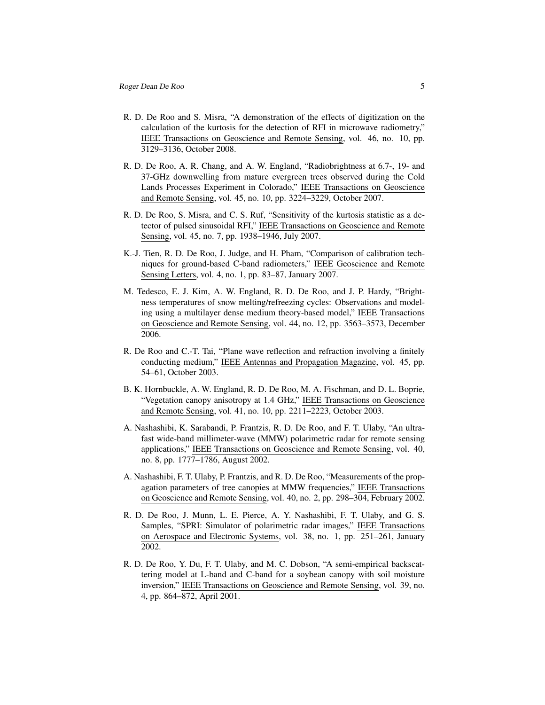- R. D. De Roo and S. Misra, "A demonstration of the effects of digitization on the calculation of the kurtosis for the detection of RFI in microwave radiometry," IEEE Transactions on Geoscience and Remote Sensing, vol. 46, no. 10, pp. 3129–3136, October 2008.
- R. D. De Roo, A. R. Chang, and A. W. England, "Radiobrightness at 6.7-, 19- and 37-GHz downwelling from mature evergreen trees observed during the Cold Lands Processes Experiment in Colorado," IEEE Transactions on Geoscience and Remote Sensing, vol. 45, no. 10, pp. 3224–3229, October 2007.
- R. D. De Roo, S. Misra, and C. S. Ruf, "Sensitivity of the kurtosis statistic as a detector of pulsed sinusoidal RFI," IEEE Transactions on Geoscience and Remote Sensing, vol. 45, no. 7, pp. 1938–1946, July 2007.
- K.-J. Tien, R. D. De Roo, J. Judge, and H. Pham, "Comparison of calibration techniques for ground-based C-band radiometers," IEEE Geoscience and Remote Sensing Letters, vol. 4, no. 1, pp. 83–87, January 2007.
- M. Tedesco, E. J. Kim, A. W. England, R. D. De Roo, and J. P. Hardy, "Brightness temperatures of snow melting/refreezing cycles: Observations and modeling using a multilayer dense medium theory-based model," IEEE Transactions on Geoscience and Remote Sensing, vol. 44, no. 12, pp. 3563–3573, December 2006.
- R. De Roo and C.-T. Tai, "Plane wave reflection and refraction involving a finitely conducting medium," IEEE Antennas and Propagation Magazine, vol. 45, pp. 54–61, October 2003.
- B. K. Hornbuckle, A. W. England, R. D. De Roo, M. A. Fischman, and D. L. Boprie, "Vegetation canopy anisotropy at 1.4 GHz," IEEE Transactions on Geoscience and Remote Sensing, vol. 41, no. 10, pp. 2211–2223, October 2003.
- A. Nashashibi, K. Sarabandi, P. Frantzis, R. D. De Roo, and F. T. Ulaby, "An ultrafast wide-band millimeter-wave (MMW) polarimetric radar for remote sensing applications," IEEE Transactions on Geoscience and Remote Sensing, vol. 40, no. 8, pp. 1777–1786, August 2002.
- A. Nashashibi, F. T. Ulaby, P. Frantzis, and R. D. De Roo, "Measurements of the propagation parameters of tree canopies at MMW frequencies," IEEE Transactions on Geoscience and Remote Sensing, vol. 40, no. 2, pp. 298–304, February 2002.
- R. D. De Roo, J. Munn, L. E. Pierce, A. Y. Nashashibi, F. T. Ulaby, and G. S. Samples, "SPRI: Simulator of polarimetric radar images," IEEE Transactions on Aerospace and Electronic Systems, vol. 38, no. 1, pp. 251–261, January 2002.
- R. D. De Roo, Y. Du, F. T. Ulaby, and M. C. Dobson, "A semi-empirical backscattering model at L-band and C-band for a soybean canopy with soil moisture inversion," IEEE Transactions on Geoscience and Remote Sensing, vol. 39, no. 4, pp. 864–872, April 2001.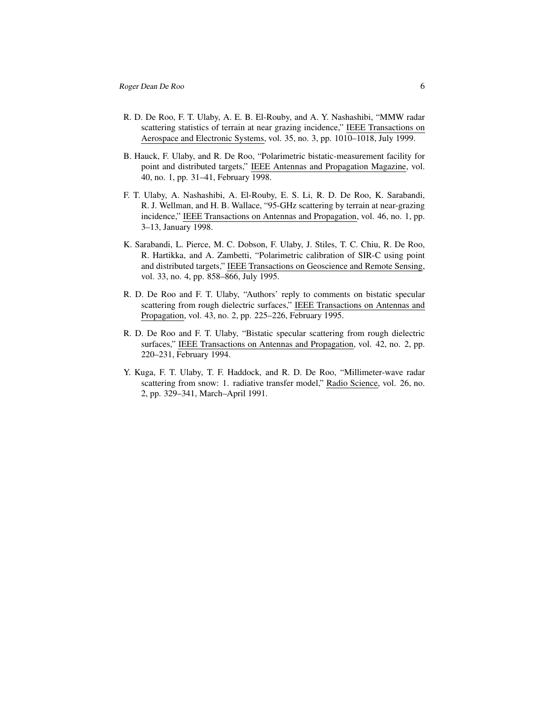- R. D. De Roo, F. T. Ulaby, A. E. B. El-Rouby, and A. Y. Nashashibi, "MMW radar scattering statistics of terrain at near grazing incidence," IEEE Transactions on Aerospace and Electronic Systems, vol. 35, no. 3, pp. 1010–1018, July 1999.
- B. Hauck, F. Ulaby, and R. De Roo, "Polarimetric bistatic-measurement facility for point and distributed targets," IEEE Antennas and Propagation Magazine, vol. 40, no. 1, pp. 31–41, February 1998.
- F. T. Ulaby, A. Nashashibi, A. El-Rouby, E. S. Li, R. D. De Roo, K. Sarabandi, R. J. Wellman, and H. B. Wallace, "95-GHz scattering by terrain at near-grazing incidence," IEEE Transactions on Antennas and Propagation, vol. 46, no. 1, pp. 3–13, January 1998.
- K. Sarabandi, L. Pierce, M. C. Dobson, F. Ulaby, J. Stiles, T. C. Chiu, R. De Roo, R. Hartikka, and A. Zambetti, "Polarimetric calibration of SIR-C using point and distributed targets," IEEE Transactions on Geoscience and Remote Sensing, vol. 33, no. 4, pp. 858–866, July 1995.
- R. D. De Roo and F. T. Ulaby, "Authors' reply to comments on bistatic specular scattering from rough dielectric surfaces," IEEE Transactions on Antennas and Propagation, vol. 43, no. 2, pp. 225–226, February 1995.
- R. D. De Roo and F. T. Ulaby, "Bistatic specular scattering from rough dielectric surfaces," IEEE Transactions on Antennas and Propagation, vol. 42, no. 2, pp. 220–231, February 1994.
- Y. Kuga, F. T. Ulaby, T. F. Haddock, and R. D. De Roo, "Millimeter-wave radar scattering from snow: 1. radiative transfer model," Radio Science, vol. 26, no. 2, pp. 329–341, March–April 1991.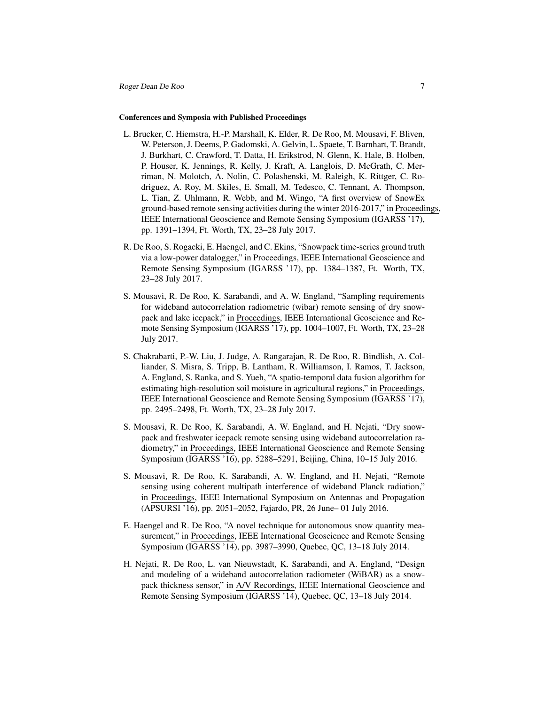## Conferences and Symposia with Published Proceedings

- L. Brucker, C. Hiemstra, H.-P. Marshall, K. Elder, R. De Roo, M. Mousavi, F. Bliven, W. Peterson, J. Deems, P. Gadomski, A. Gelvin, L. Spaete, T. Barnhart, T. Brandt, J. Burkhart, C. Crawford, T. Datta, H. Erikstrod, N. Glenn, K. Hale, B. Holben, P. Houser, K. Jennings, R. Kelly, J. Kraft, A. Langlois, D. McGrath, C. Merriman, N. Molotch, A. Nolin, C. Polashenski, M. Raleigh, K. Rittger, C. Rodriguez, A. Roy, M. Skiles, E. Small, M. Tedesco, C. Tennant, A. Thompson, L. Tian, Z. Uhlmann, R. Webb, and M. Wingo, "A first overview of SnowEx ground-based remote sensing activities during the winter 2016-2017," in Proceedings, IEEE International Geoscience and Remote Sensing Symposium (IGARSS '17), pp. 1391–1394, Ft. Worth, TX, 23–28 July 2017.
- R. De Roo, S. Rogacki, E. Haengel, and C. Ekins, "Snowpack time-series ground truth via a low-power datalogger," in Proceedings, IEEE International Geoscience and Remote Sensing Symposium (IGARSS '17), pp. 1384–1387, Ft. Worth, TX, 23–28 July 2017.
- S. Mousavi, R. De Roo, K. Sarabandi, and A. W. England, "Sampling requirements for wideband autocorrelation radiometric (wibar) remote sensing of dry snowpack and lake icepack," in Proceedings, IEEE International Geoscience and Remote Sensing Symposium (IGARSS '17), pp. 1004–1007, Ft. Worth, TX, 23–28 July 2017.
- S. Chakrabarti, P.-W. Liu, J. Judge, A. Rangarajan, R. De Roo, R. Bindlish, A. Colliander, S. Misra, S. Tripp, B. Lantham, R. Williamson, I. Ramos, T. Jackson, A. England, S. Ranka, and S. Yueh, "A spatio-temporal data fusion algorithm for estimating high-resolution soil moisture in agricultural regions," in Proceedings, IEEE International Geoscience and Remote Sensing Symposium (IGARSS '17), pp. 2495–2498, Ft. Worth, TX, 23–28 July 2017.
- S. Mousavi, R. De Roo, K. Sarabandi, A. W. England, and H. Nejati, "Dry snowpack and freshwater icepack remote sensing using wideband autocorrelation radiometry," in Proceedings, IEEE International Geoscience and Remote Sensing Symposium (IGARSS '16), pp. 5288–5291, Beijing, China, 10–15 July 2016.
- S. Mousavi, R. De Roo, K. Sarabandi, A. W. England, and H. Nejati, "Remote sensing using coherent multipath interference of wideband Planck radiation," in Proceedings, IEEE International Symposium on Antennas and Propagation (APSURSI '16), pp. 2051–2052, Fajardo, PR, 26 June– 01 July 2016.
- E. Haengel and R. De Roo, "A novel technique for autonomous snow quantity measurement," in Proceedings, IEEE International Geoscience and Remote Sensing Symposium (IGARSS '14), pp. 3987–3990, Quebec, QC, 13–18 July 2014.
- H. Nejati, R. De Roo, L. van Nieuwstadt, K. Sarabandi, and A. England, "Design and modeling of a wideband autocorrelation radiometer (WiBAR) as a snowpack thickness sensor," in A/V Recordings, IEEE International Geoscience and Remote Sensing Symposium (IGARSS '14), Quebec, QC, 13–18 July 2014.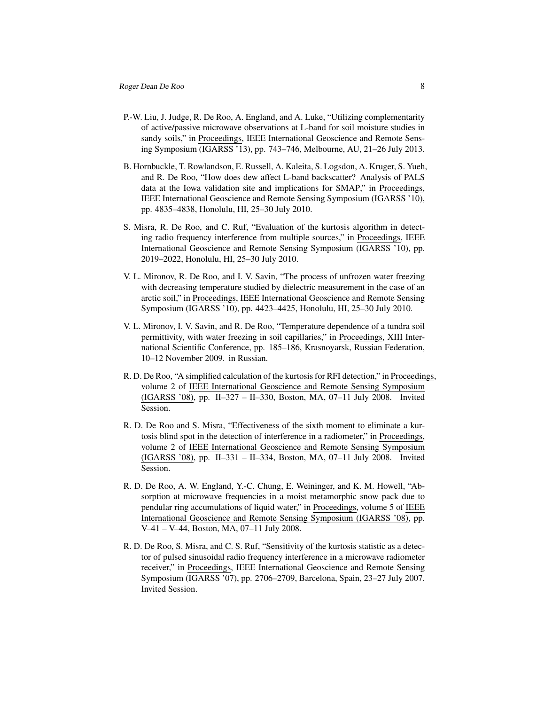- P.-W. Liu, J. Judge, R. De Roo, A. England, and A. Luke, "Utilizing complementarity of active/passive microwave observations at L-band for soil moisture studies in sandy soils," in Proceedings, IEEE International Geoscience and Remote Sensing Symposium (IGARSS '13), pp. 743–746, Melbourne, AU, 21–26 July 2013.
- B. Hornbuckle, T. Rowlandson, E. Russell, A. Kaleita, S. Logsdon, A. Kruger, S. Yueh, and R. De Roo, "How does dew affect L-band backscatter? Analysis of PALS data at the Iowa validation site and implications for SMAP," in Proceedings, IEEE International Geoscience and Remote Sensing Symposium (IGARSS '10), pp. 4835–4838, Honolulu, HI, 25–30 July 2010.
- S. Misra, R. De Roo, and C. Ruf, "Evaluation of the kurtosis algorithm in detecting radio frequency interference from multiple sources," in Proceedings, IEEE International Geoscience and Remote Sensing Symposium (IGARSS '10), pp. 2019–2022, Honolulu, HI, 25–30 July 2010.
- V. L. Mironov, R. De Roo, and I. V. Savin, "The process of unfrozen water freezing with decreasing temperature studied by dielectric measurement in the case of an arctic soil," in Proceedings, IEEE International Geoscience and Remote Sensing Symposium (IGARSS '10), pp. 4423–4425, Honolulu, HI, 25–30 July 2010.
- V. L. Mironov, I. V. Savin, and R. De Roo, "Temperature dependence of a tundra soil permittivity, with water freezing in soil capillaries," in Proceedings, XIII International Scientific Conference, pp. 185–186, Krasnoyarsk, Russian Federation, 10–12 November 2009. in Russian.
- R. D. De Roo, "A simplified calculation of the kurtosis for RFI detection," in Proceedings, volume 2 of IEEE International Geoscience and Remote Sensing Symposium (IGARSS '08), pp. II–327 – II–330, Boston, MA, 07–11 July 2008. Invited Session.
- R. D. De Roo and S. Misra, "Effectiveness of the sixth moment to eliminate a kurtosis blind spot in the detection of interference in a radiometer," in Proceedings, volume 2 of IEEE International Geoscience and Remote Sensing Symposium (IGARSS '08), pp. II–331 – II–334, Boston, MA, 07–11 July 2008. Invited Session.
- R. D. De Roo, A. W. England, Y.-C. Chung, E. Weininger, and K. M. Howell, "Absorption at microwave frequencies in a moist metamorphic snow pack due to pendular ring accumulations of liquid water," in Proceedings, volume 5 of IEEE International Geoscience and Remote Sensing Symposium (IGARSS '08), pp. V–41 – V–44, Boston, MA, 07–11 July 2008.
- R. D. De Roo, S. Misra, and C. S. Ruf, "Sensitivity of the kurtosis statistic as a detector of pulsed sinusoidal radio frequency interference in a microwave radiometer receiver," in Proceedings, IEEE International Geoscience and Remote Sensing Symposium (IGARSS '07), pp. 2706–2709, Barcelona, Spain, 23–27 July 2007. Invited Session.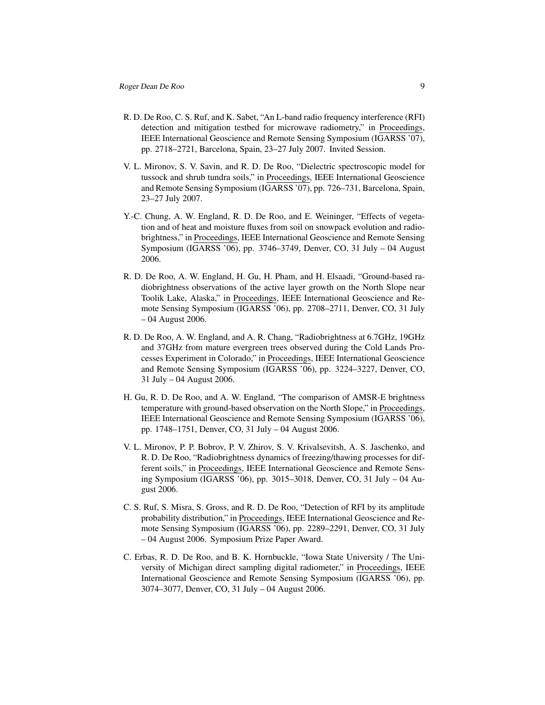- R. D. De Roo, C. S. Ruf, and K. Sabet, "An L-band radio frequency interference (RFI) detection and mitigation testbed for microwave radiometry," in Proceedings, IEEE International Geoscience and Remote Sensing Symposium (IGARSS '07), pp. 2718–2721, Barcelona, Spain, 23–27 July 2007. Invited Session.
- V. L. Mironov, S. V. Savin, and R. D. De Roo, "Dielectric spectroscopic model for tussock and shrub tundra soils," in Proceedings, IEEE International Geoscience and Remote Sensing Symposium (IGARSS '07), pp. 726–731, Barcelona, Spain, 23–27 July 2007.
- Y.-C. Chung, A. W. England, R. D. De Roo, and E. Weininger, "Effects of vegetation and of heat and moisture fluxes from soil on snowpack evolution and radiobrightness," in Proceedings, IEEE International Geoscience and Remote Sensing Symposium (IGARSS '06), pp. 3746–3749, Denver, CO, 31 July – 04 August 2006.
- R. D. De Roo, A. W. England, H. Gu, H. Pham, and H. Elsaadi, "Ground-based radiobrightness observations of the active layer growth on the North Slope near Toolik Lake, Alaska," in Proceedings, IEEE International Geoscience and Remote Sensing Symposium (IGARSS '06), pp. 2708–2711, Denver, CO, 31 July – 04 August 2006.
- R. D. De Roo, A. W. England, and A. R. Chang, "Radiobrightness at 6.7GHz, 19GHz and 37GHz from mature evergreen trees observed during the Cold Lands Processes Experiment in Colorado," in Proceedings, IEEE International Geoscience and Remote Sensing Symposium (IGARSS '06), pp. 3224–3227, Denver, CO, 31 July – 04 August 2006.
- H. Gu, R. D. De Roo, and A. W. England, "The comparison of AMSR-E brightness temperature with ground-based observation on the North Slope," in Proceedings, IEEE International Geoscience and Remote Sensing Symposium (IGARSS '06), pp. 1748–1751, Denver, CO, 31 July – 04 August 2006.
- V. L. Mironov, P. P. Bobrov, P. V. Zhirov, S. V. Krivalsevitsh, A. S. Jaschenko, and R. D. De Roo, "Radiobrightness dynamics of freezing/thawing processes for different soils," in Proceedings, IEEE International Geoscience and Remote Sensing Symposium (IGARSS '06), pp. 3015–3018, Denver, CO, 31 July – 04 August 2006.
- C. S. Ruf, S. Misra, S. Gross, and R. D. De Roo, "Detection of RFI by its amplitude probability distribution," in Proceedings, IEEE International Geoscience and Remote Sensing Symposium (IGARSS '06), pp. 2289–2291, Denver, CO, 31 July – 04 August 2006. Symposium Prize Paper Award.
- C. Erbas, R. D. De Roo, and B. K. Hornbuckle, "Iowa State University / The University of Michigan direct sampling digital radiometer," in Proceedings, IEEE International Geoscience and Remote Sensing Symposium (IGARSS '06), pp. 3074–3077, Denver, CO, 31 July – 04 August 2006.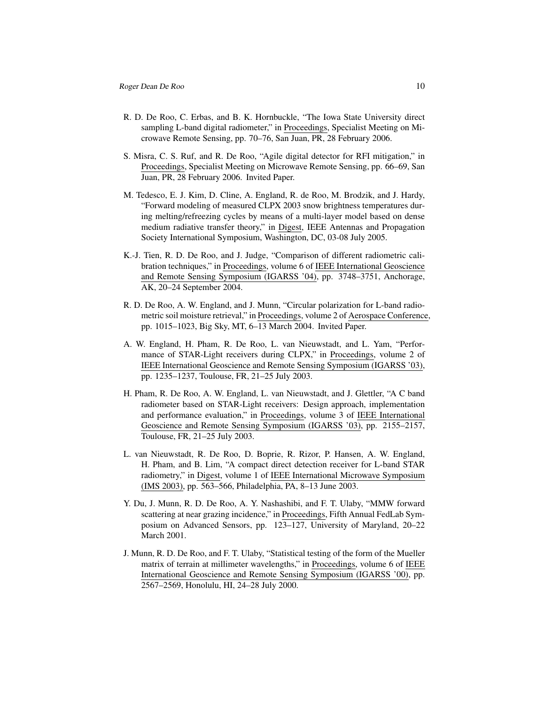- R. D. De Roo, C. Erbas, and B. K. Hornbuckle, "The Iowa State University direct sampling L-band digital radiometer," in Proceedings, Specialist Meeting on Microwave Remote Sensing, pp. 70–76, San Juan, PR, 28 February 2006.
- S. Misra, C. S. Ruf, and R. De Roo, "Agile digital detector for RFI mitigation," in Proceedings, Specialist Meeting on Microwave Remote Sensing, pp. 66–69, San Juan, PR, 28 February 2006. Invited Paper.
- M. Tedesco, E. J. Kim, D. Cline, A. England, R. de Roo, M. Brodzik, and J. Hardy, "Forward modeling of measured CLPX 2003 snow brightness temperatures during melting/refreezing cycles by means of a multi-layer model based on dense medium radiative transfer theory," in Digest, IEEE Antennas and Propagation Society International Symposium, Washington, DC, 03-08 July 2005.
- K.-J. Tien, R. D. De Roo, and J. Judge, "Comparison of different radiometric calibration techniques," in Proceedings, volume 6 of IEEE International Geoscience and Remote Sensing Symposium (IGARSS '04), pp. 3748–3751, Anchorage, AK, 20–24 September 2004.
- R. D. De Roo, A. W. England, and J. Munn, "Circular polarization for L-band radiometric soil moisture retrieval," in Proceedings, volume 2 of Aerospace Conference, pp. 1015–1023, Big Sky, MT, 6–13 March 2004. Invited Paper.
- A. W. England, H. Pham, R. De Roo, L. van Nieuwstadt, and L. Yam, "Performance of STAR-Light receivers during CLPX," in Proceedings, volume 2 of IEEE International Geoscience and Remote Sensing Symposium (IGARSS '03), pp. 1235–1237, Toulouse, FR, 21–25 July 2003.
- H. Pham, R. De Roo, A. W. England, L. van Nieuwstadt, and J. Glettler, "A C band radiometer based on STAR-Light receivers: Design approach, implementation and performance evaluation," in Proceedings, volume 3 of IEEE International Geoscience and Remote Sensing Symposium (IGARSS '03), pp. 2155–2157, Toulouse, FR, 21–25 July 2003.
- L. van Nieuwstadt, R. De Roo, D. Boprie, R. Rizor, P. Hansen, A. W. England, H. Pham, and B. Lim, "A compact direct detection receiver for L-band STAR radiometry," in Digest, volume 1 of IEEE International Microwave Symposium (IMS 2003), pp. 563–566, Philadelphia, PA, 8–13 June 2003.
- Y. Du, J. Munn, R. D. De Roo, A. Y. Nashashibi, and F. T. Ulaby, "MMW forward scattering at near grazing incidence," in Proceedings, Fifth Annual FedLab Symposium on Advanced Sensors, pp. 123–127, University of Maryland, 20–22 March 2001.
- J. Munn, R. D. De Roo, and F. T. Ulaby, "Statistical testing of the form of the Mueller matrix of terrain at millimeter wavelengths," in Proceedings, volume 6 of IEEE International Geoscience and Remote Sensing Symposium (IGARSS '00), pp. 2567–2569, Honolulu, HI, 24–28 July 2000.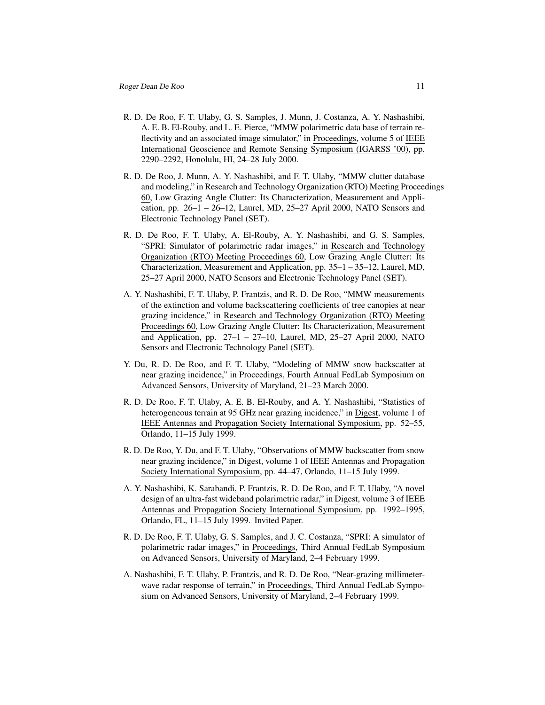- R. D. De Roo, F. T. Ulaby, G. S. Samples, J. Munn, J. Costanza, A. Y. Nashashibi, A. E. B. El-Rouby, and L. E. Pierce, "MMW polarimetric data base of terrain reflectivity and an associated image simulator," in Proceedings, volume 5 of IEEE International Geoscience and Remote Sensing Symposium (IGARSS '00), pp. 2290–2292, Honolulu, HI, 24–28 July 2000.
- R. D. De Roo, J. Munn, A. Y. Nashashibi, and F. T. Ulaby, "MMW clutter database and modeling," in Research and Technology Organization (RTO) Meeting Proceedings 60, Low Grazing Angle Clutter: Its Characterization, Measurement and Application, pp. 26–1 – 26–12, Laurel, MD, 25–27 April 2000, NATO Sensors and Electronic Technology Panel (SET).
- R. D. De Roo, F. T. Ulaby, A. El-Rouby, A. Y. Nashashibi, and G. S. Samples, "SPRI: Simulator of polarimetric radar images," in Research and Technology Organization (RTO) Meeting Proceedings 60, Low Grazing Angle Clutter: Its Characterization, Measurement and Application, pp. 35–1 – 35–12, Laurel, MD, 25–27 April 2000, NATO Sensors and Electronic Technology Panel (SET).
- A. Y. Nashashibi, F. T. Ulaby, P. Frantzis, and R. D. De Roo, "MMW measurements of the extinction and volume backscattering coefficients of tree canopies at near grazing incidence," in Research and Technology Organization (RTO) Meeting Proceedings 60, Low Grazing Angle Clutter: Its Characterization, Measurement and Application, pp. 27–1 – 27–10, Laurel, MD, 25–27 April 2000, NATO Sensors and Electronic Technology Panel (SET).
- Y. Du, R. D. De Roo, and F. T. Ulaby, "Modeling of MMW snow backscatter at near grazing incidence," in Proceedings, Fourth Annual FedLab Symposium on Advanced Sensors, University of Maryland, 21–23 March 2000.
- R. D. De Roo, F. T. Ulaby, A. E. B. El-Rouby, and A. Y. Nashashibi, "Statistics of heterogeneous terrain at 95 GHz near grazing incidence," in Digest, volume 1 of IEEE Antennas and Propagation Society International Symposium, pp. 52–55, Orlando, 11–15 July 1999.
- R. D. De Roo, Y. Du, and F. T. Ulaby, "Observations of MMW backscatter from snow near grazing incidence," in Digest, volume 1 of IEEE Antennas and Propagation Society International Symposium, pp. 44–47, Orlando, 11–15 July 1999.
- A. Y. Nashashibi, K. Sarabandi, P. Frantzis, R. D. De Roo, and F. T. Ulaby, "A novel design of an ultra-fast wideband polarimetric radar," in Digest, volume 3 of IEEE Antennas and Propagation Society International Symposium, pp. 1992–1995, Orlando, FL, 11–15 July 1999. Invited Paper.
- R. D. De Roo, F. T. Ulaby, G. S. Samples, and J. C. Costanza, "SPRI: A simulator of polarimetric radar images," in Proceedings, Third Annual FedLab Symposium on Advanced Sensors, University of Maryland, 2–4 February 1999.
- A. Nashashibi, F. T. Ulaby, P. Frantzis, and R. D. De Roo, "Near-grazing millimeterwave radar response of terrain," in Proceedings, Third Annual FedLab Symposium on Advanced Sensors, University of Maryland, 2–4 February 1999.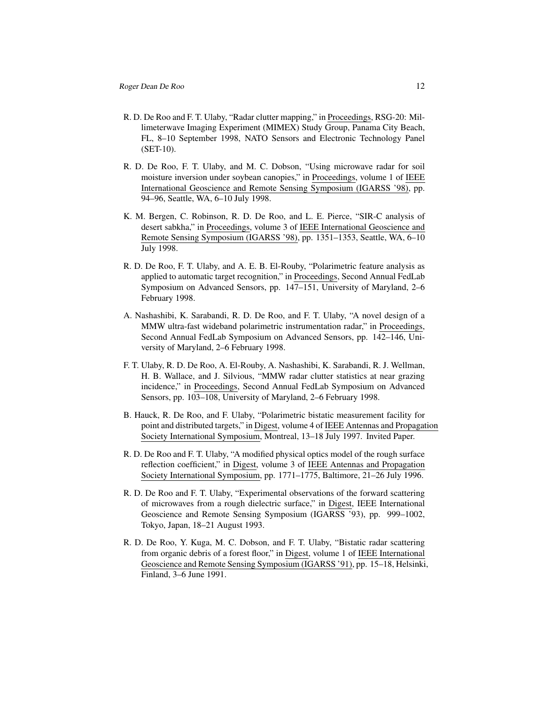- R. D. De Roo and F. T. Ulaby, "Radar clutter mapping," in Proceedings, RSG-20: Millimeterwave Imaging Experiment (MIMEX) Study Group, Panama City Beach, FL, 8–10 September 1998, NATO Sensors and Electronic Technology Panel (SET-10).
- R. D. De Roo, F. T. Ulaby, and M. C. Dobson, "Using microwave radar for soil moisture inversion under soybean canopies," in Proceedings, volume 1 of IEEE International Geoscience and Remote Sensing Symposium (IGARSS '98), pp. 94–96, Seattle, WA, 6–10 July 1998.
- K. M. Bergen, C. Robinson, R. D. De Roo, and L. E. Pierce, "SIR-C analysis of desert sabkha," in Proceedings, volume 3 of IEEE International Geoscience and Remote Sensing Symposium (IGARSS '98), pp. 1351–1353, Seattle, WA, 6–10 July 1998.
- R. D. De Roo, F. T. Ulaby, and A. E. B. El-Rouby, "Polarimetric feature analysis as applied to automatic target recognition," in Proceedings, Second Annual FedLab Symposium on Advanced Sensors, pp. 147–151, University of Maryland, 2–6 February 1998.
- A. Nashashibi, K. Sarabandi, R. D. De Roo, and F. T. Ulaby, "A novel design of a MMW ultra-fast wideband polarimetric instrumentation radar," in Proceedings, Second Annual FedLab Symposium on Advanced Sensors, pp. 142–146, University of Maryland, 2–6 February 1998.
- F. T. Ulaby, R. D. De Roo, A. El-Rouby, A. Nashashibi, K. Sarabandi, R. J. Wellman, H. B. Wallace, and J. Silvious, "MMW radar clutter statistics at near grazing incidence," in Proceedings, Second Annual FedLab Symposium on Advanced Sensors, pp. 103–108, University of Maryland, 2–6 February 1998.
- B. Hauck, R. De Roo, and F. Ulaby, "Polarimetric bistatic measurement facility for point and distributed targets," in Digest, volume 4 of IEEE Antennas and Propagation Society International Symposium, Montreal, 13–18 July 1997. Invited Paper.
- R. D. De Roo and F. T. Ulaby, "A modified physical optics model of the rough surface reflection coefficient," in Digest, volume 3 of IEEE Antennas and Propagation Society International Symposium, pp. 1771–1775, Baltimore, 21–26 July 1996.
- R. D. De Roo and F. T. Ulaby, "Experimental observations of the forward scattering of microwaves from a rough dielectric surface," in Digest, IEEE International Geoscience and Remote Sensing Symposium (IGARSS '93), pp. 999–1002, Tokyo, Japan, 18–21 August 1993.
- R. D. De Roo, Y. Kuga, M. C. Dobson, and F. T. Ulaby, "Bistatic radar scattering from organic debris of a forest floor," in Digest, volume 1 of IEEE International Geoscience and Remote Sensing Symposium (IGARSS '91), pp. 15–18, Helsinki, Finland, 3–6 June 1991.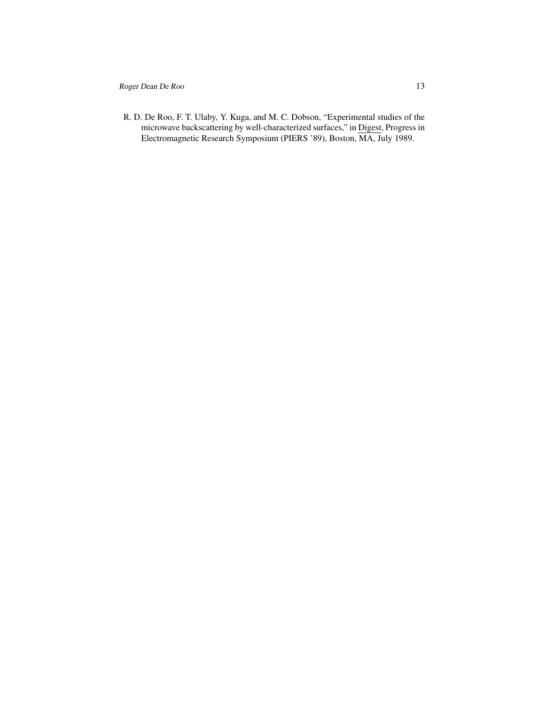Roger Dean De Roo 13

R. D. De Roo, F. T. Ulaby, Y. Kuga, and M. C. Dobson, "Experimental studies of the microwave backscattering by well-characterized surfaces," in Digest, Progress in Electromagnetic Research Symposium (PIERS '89), Boston, MA, July 1989.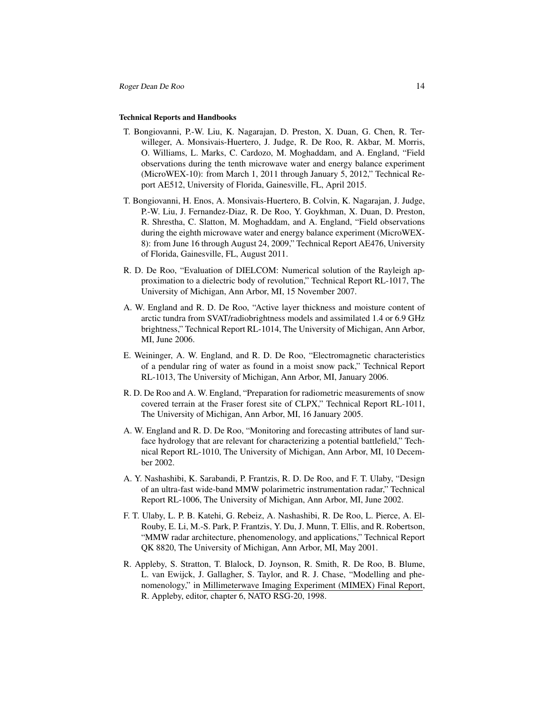## Technical Reports and Handbooks

- T. Bongiovanni, P.-W. Liu, K. Nagarajan, D. Preston, X. Duan, G. Chen, R. Terwilleger, A. Monsivais-Huertero, J. Judge, R. De Roo, R. Akbar, M. Morris, O. Williams, L. Marks, C. Cardozo, M. Moghaddam, and A. England, "Field observations during the tenth microwave water and energy balance experiment (MicroWEX-10): from March 1, 2011 through January 5, 2012," Technical Report AE512, University of Florida, Gainesville, FL, April 2015.
- T. Bongiovanni, H. Enos, A. Monsivais-Huertero, B. Colvin, K. Nagarajan, J. Judge, P.-W. Liu, J. Fernandez-Diaz, R. De Roo, Y. Goykhman, X. Duan, D. Preston, R. Shrestha, C. Slatton, M. Moghaddam, and A. England, "Field observations during the eighth microwave water and energy balance experiment (MicroWEX-8): from June 16 through August 24, 2009," Technical Report AE476, University of Florida, Gainesville, FL, August 2011.
- R. D. De Roo, "Evaluation of DIELCOM: Numerical solution of the Rayleigh approximation to a dielectric body of revolution," Technical Report RL-1017, The University of Michigan, Ann Arbor, MI, 15 November 2007.
- A. W. England and R. D. De Roo, "Active layer thickness and moisture content of arctic tundra from SVAT/radiobrightness models and assimilated 1.4 or 6.9 GHz brightness," Technical Report RL-1014, The University of Michigan, Ann Arbor, MI, June 2006.
- E. Weininger, A. W. England, and R. D. De Roo, "Electromagnetic characteristics of a pendular ring of water as found in a moist snow pack," Technical Report RL-1013, The University of Michigan, Ann Arbor, MI, January 2006.
- R. D. De Roo and A. W. England, "Preparation for radiometric measurements of snow covered terrain at the Fraser forest site of CLPX," Technical Report RL-1011, The University of Michigan, Ann Arbor, MI, 16 January 2005.
- A. W. England and R. D. De Roo, "Monitoring and forecasting attributes of land surface hydrology that are relevant for characterizing a potential battlefield," Technical Report RL-1010, The University of Michigan, Ann Arbor, MI, 10 December 2002.
- A. Y. Nashashibi, K. Sarabandi, P. Frantzis, R. D. De Roo, and F. T. Ulaby, "Design of an ultra-fast wide-band MMW polarimetric instrumentation radar," Technical Report RL-1006, The University of Michigan, Ann Arbor, MI, June 2002.
- F. T. Ulaby, L. P. B. Katehi, G. Rebeiz, A. Nashashibi, R. De Roo, L. Pierce, A. El-Rouby, E. Li, M.-S. Park, P. Frantzis, Y. Du, J. Munn, T. Ellis, and R. Robertson, "MMW radar architecture, phenomenology, and applications," Technical Report QK 8820, The University of Michigan, Ann Arbor, MI, May 2001.
- R. Appleby, S. Stratton, T. Blalock, D. Joynson, R. Smith, R. De Roo, B. Blume, L. van Ewijck, J. Gallagher, S. Taylor, and R. J. Chase, "Modelling and phenomenology," in Millimeterwave Imaging Experiment (MIMEX) Final Report, R. Appleby, editor, chapter 6, NATO RSG-20, 1998.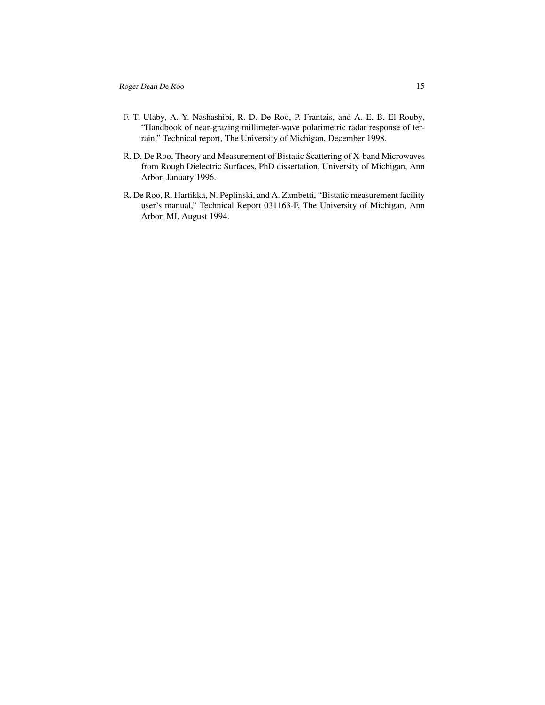- F. T. Ulaby, A. Y. Nashashibi, R. D. De Roo, P. Frantzis, and A. E. B. El-Rouby, "Handbook of near-grazing millimeter-wave polarimetric radar response of terrain," Technical report, The University of Michigan, December 1998.
- R. D. De Roo, Theory and Measurement of Bistatic Scattering of X-band Microwaves from Rough Dielectric Surfaces, PhD dissertation, University of Michigan, Ann Arbor, January 1996.
- R. De Roo, R. Hartikka, N. Peplinski, and A. Zambetti, "Bistatic measurement facility user's manual," Technical Report 031163-F, The University of Michigan, Ann Arbor, MI, August 1994.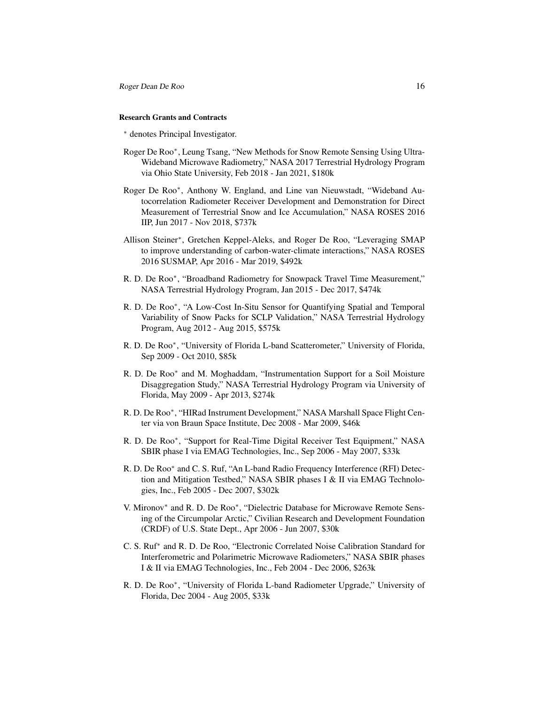#### Research Grants and Contracts

<sup>∗</sup> denotes Principal Investigator.

- Roger De Roo<sup>∗</sup> , Leung Tsang, "New Methods for Snow Remote Sensing Using Ultra-Wideband Microwave Radiometry," NASA 2017 Terrestrial Hydrology Program via Ohio State University, Feb 2018 - Jan 2021, \$180k
- Roger De Roo<sup>∗</sup> , Anthony W. England, and Line van Nieuwstadt, "Wideband Autocorrelation Radiometer Receiver Development and Demonstration for Direct Measurement of Terrestrial Snow and Ice Accumulation," NASA ROSES 2016 IIP, Jun 2017 - Nov 2018, \$737k
- Allison Steiner<sup>∗</sup> , Gretchen Keppel-Aleks, and Roger De Roo, "Leveraging SMAP to improve understanding of carbon-water-climate interactions," NASA ROSES 2016 SUSMAP, Apr 2016 - Mar 2019, \$492k
- R. D. De Roo<sup>\*</sup>, "Broadband Radiometry for Snowpack Travel Time Measurement," NASA Terrestrial Hydrology Program, Jan 2015 - Dec 2017, \$474k
- R. D. De Roo<sup>∗</sup> , "A Low-Cost In-Situ Sensor for Quantifying Spatial and Temporal Variability of Snow Packs for SCLP Validation," NASA Terrestrial Hydrology Program, Aug 2012 - Aug 2015, \$575k
- R. D. De Roo\*, "University of Florida L-band Scatterometer," University of Florida, Sep 2009 - Oct 2010, \$85k
- R. D. De Roo<sup>\*</sup> and M. Moghaddam, "Instrumentation Support for a Soil Moisture Disaggregation Study," NASA Terrestrial Hydrology Program via University of Florida, May 2009 - Apr 2013, \$274k
- R. D. De Roo<sup>∗</sup> , "HIRad Instrument Development," NASA Marshall Space Flight Center via von Braun Space Institute, Dec 2008 - Mar 2009, \$46k
- R. D. De Roo<sup>∗</sup> , "Support for Real-Time Digital Receiver Test Equipment," NASA SBIR phase I via EMAG Technologies, Inc., Sep 2006 - May 2007, \$33k
- R. D. De Roo<sup>\*</sup> and C. S. Ruf, "An L-band Radio Frequency Interference (RFI) Detection and Mitigation Testbed," NASA SBIR phases I & II via EMAG Technologies, Inc., Feb 2005 - Dec 2007, \$302k
- V. Mironov<sup>∗</sup> and R. D. De Roo<sup>∗</sup>, "Dielectric Database for Microwave Remote Sensing of the Circumpolar Arctic," Civilian Research and Development Foundation (CRDF) of U.S. State Dept., Apr 2006 - Jun 2007, \$30k
- C. S. Ruf<sup>∗</sup> and R. D. De Roo, "Electronic Correlated Noise Calibration Standard for Interferometric and Polarimetric Microwave Radiometers," NASA SBIR phases I & II via EMAG Technologies, Inc., Feb 2004 - Dec 2006, \$263k
- R. D. De Roo<sup>∗</sup> , "University of Florida L-band Radiometer Upgrade," University of Florida, Dec 2004 - Aug 2005, \$33k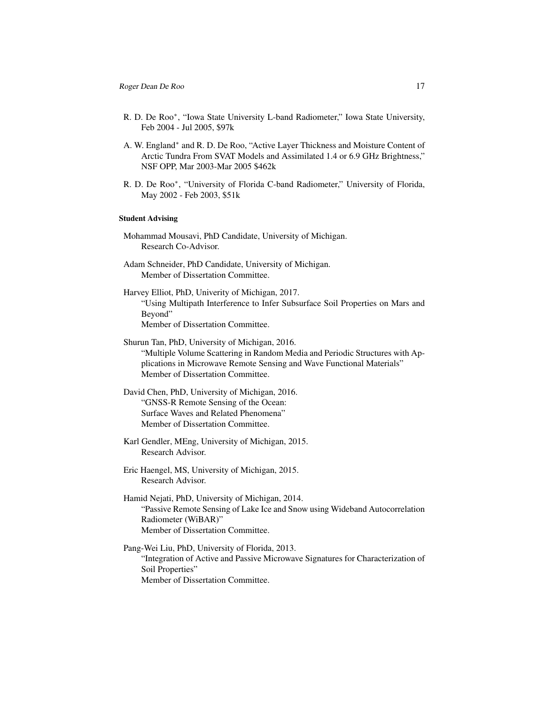- R. D. De Roo<sup>∗</sup> , "Iowa State University L-band Radiometer," Iowa State University, Feb 2004 - Jul 2005, \$97k
- A. W. England<sup>∗</sup> and R. D. De Roo, "Active Layer Thickness and Moisture Content of Arctic Tundra From SVAT Models and Assimilated 1.4 or 6.9 GHz Brightness," NSF OPP, Mar 2003-Mar 2005 \$462k
- R. D. De Roo<sup>∗</sup> , "University of Florida C-band Radiometer," University of Florida, May 2002 - Feb 2003, \$51k

#### Student Advising

- Mohammad Mousavi, PhD Candidate, University of Michigan. Research Co-Advisor.
- Adam Schneider, PhD Candidate, University of Michigan. Member of Dissertation Committee.

Harvey Elliot, PhD, Univerity of Michigan, 2017. "Using Multipath Interference to Infer Subsurface Soil Properties on Mars and Beyond" Member of Dissertation Committee.

- Shurun Tan, PhD, University of Michigan, 2016. "Multiple Volume Scattering in Random Media and Periodic Structures with Applications in Microwave Remote Sensing and Wave Functional Materials" Member of Dissertation Committee.
- David Chen, PhD, University of Michigan, 2016. "GNSS-R Remote Sensing of the Ocean: Surface Waves and Related Phenomena" Member of Dissertation Committee.
- Karl Gendler, MEng, University of Michigan, 2015. Research Advisor.
- Eric Haengel, MS, University of Michigan, 2015. Research Advisor.
- Hamid Nejati, PhD, University of Michigan, 2014. "Passive Remote Sensing of Lake Ice and Snow using Wideband Autocorrelation Radiometer (WiBAR)" Member of Dissertation Committee.
- Pang-Wei Liu, PhD, University of Florida, 2013. "Integration of Active and Passive Microwave Signatures for Characterization of Soil Properties" Member of Dissertation Committee.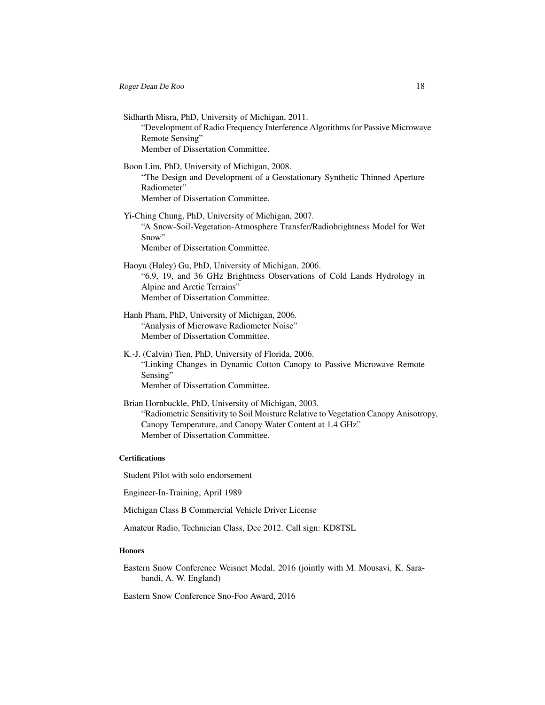- Sidharth Misra, PhD, University of Michigan, 2011. "Development of Radio Frequency Interference Algorithms for Passive Microwave Remote Sensing" Member of Dissertation Committee.
- Boon Lim, PhD, University of Michigan, 2008. "The Design and Development of a Geostationary Synthetic Thinned Aperture Radiometer" Member of Dissertation Committee.
- Yi-Ching Chung, PhD, University of Michigan, 2007. "A Snow-Soil-Vegetation-Atmosphere Transfer/Radiobrightness Model for Wet Snow" Member of Dissertation Committee.
- Haoyu (Haley) Gu, PhD, University of Michigan, 2006. "6.9, 19, and 36 GHz Brightness Observations of Cold Lands Hydrology in Alpine and Arctic Terrains" Member of Dissertation Committee.
- Hanh Pham, PhD, University of Michigan, 2006. "Analysis of Microwave Radiometer Noise" Member of Dissertation Committee.
- K.-J. (Calvin) Tien, PhD, University of Florida, 2006. "Linking Changes in Dynamic Cotton Canopy to Passive Microwave Remote Sensing" Member of Dissertation Committee.
- Brian Hornbuckle, PhD, University of Michigan, 2003. "Radiometric Sensitivity to Soil Moisture Relative to Vegetation Canopy Anisotropy, Canopy Temperature, and Canopy Water Content at 1.4 GHz" Member of Dissertation Committee.

## **Certifications**

Student Pilot with solo endorsement

Engineer-In-Training, April 1989

Michigan Class B Commercial Vehicle Driver License

Amateur Radio, Technician Class, Dec 2012. Call sign: KD8TSL

# **Honors**

Eastern Snow Conference Weisnet Medal, 2016 (jointly with M. Mousavi, K. Sarabandi, A. W. England)

Eastern Snow Conference Sno-Foo Award, 2016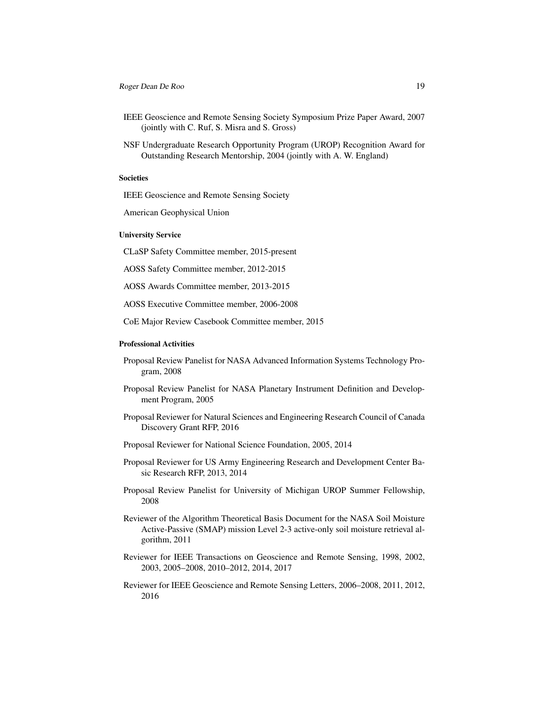- IEEE Geoscience and Remote Sensing Society Symposium Prize Paper Award, 2007 (jointly with C. Ruf, S. Misra and S. Gross)
- NSF Undergraduate Research Opportunity Program (UROP) Recognition Award for Outstanding Research Mentorship, 2004 (jointly with A. W. England)

#### Societies

IEEE Geoscience and Remote Sensing Society

American Geophysical Union

### University Service

CLaSP Safety Committee member, 2015-present

AOSS Safety Committee member, 2012-2015

AOSS Awards Committee member, 2013-2015

AOSS Executive Committee member, 2006-2008

CoE Major Review Casebook Committee member, 2015

#### Professional Activities

- Proposal Review Panelist for NASA Advanced Information Systems Technology Program, 2008
- Proposal Review Panelist for NASA Planetary Instrument Definition and Development Program, 2005
- Proposal Reviewer for Natural Sciences and Engineering Research Council of Canada Discovery Grant RFP, 2016
- Proposal Reviewer for National Science Foundation, 2005, 2014
- Proposal Reviewer for US Army Engineering Research and Development Center Basic Research RFP, 2013, 2014
- Proposal Review Panelist for University of Michigan UROP Summer Fellowship, 2008
- Reviewer of the Algorithm Theoretical Basis Document for the NASA Soil Moisture Active-Passive (SMAP) mission Level 2-3 active-only soil moisture retrieval algorithm, 2011
- Reviewer for IEEE Transactions on Geoscience and Remote Sensing, 1998, 2002, 2003, 2005–2008, 2010–2012, 2014, 2017
- Reviewer for IEEE Geoscience and Remote Sensing Letters, 2006–2008, 2011, 2012, 2016